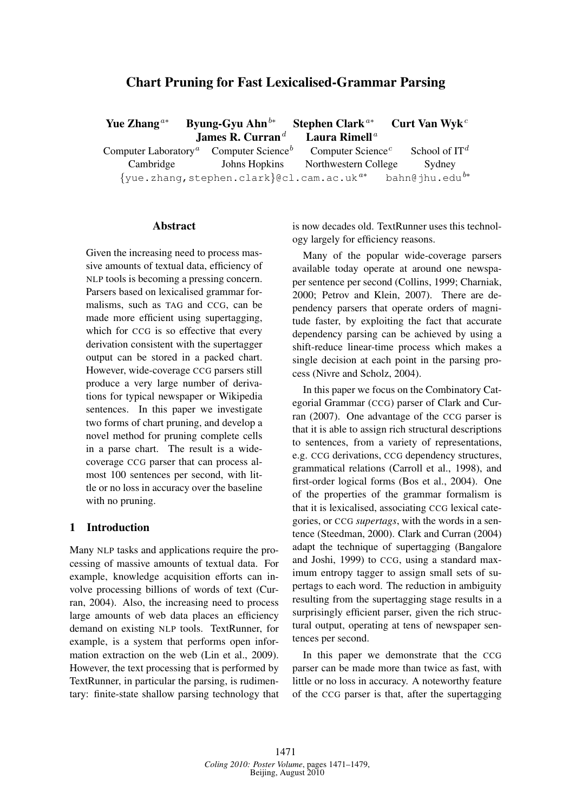# Chart Pruning for Fast Lexicalised-Grammar Parsing

| Yue Zhang <sup><math>a*</math></sup>          | Byung-Gyu Ahn $^{b*}$                                     | Stephen Clark <sup><math>a*</math></sup>   | Curt Van Wyk <sup>c</sup>    |
|-----------------------------------------------|-----------------------------------------------------------|--------------------------------------------|------------------------------|
|                                               | James R. Curran <sup>d</sup>                              | Laura Rimell <sup><math>a</math></sup>     |                              |
| Computer Laboratory <sup><math>a</math></sup> | Computer Science <sup><math>b</math></sup>                | Computer Science <sup><math>c</math></sup> | School of $IT^d$             |
| Cambridge                                     | Johns Hopkins                                             | Northwestern College                       | Sydney                       |
|                                               | $\{yue.zhang, stephen.class}$ ecl.cam.ac.uk <sup>a*</sup> |                                            | $bahn@jhu.edu$ <sup>b*</sup> |

#### Abstract

Given the increasing need to process massive amounts of textual data, efficiency of NLP tools is becoming a pressing concern. Parsers based on lexicalised grammar formalisms, such as TAG and CCG, can be made more efficient using supertagging, which for CCG is so effective that every derivation consistent with the supertagger output can be stored in a packed chart. However, wide-coverage CCG parsers still produce a very large number of derivations for typical newspaper or Wikipedia sentences. In this paper we investigate two forms of chart pruning, and develop a novel method for pruning complete cells in a parse chart. The result is a widecoverage CCG parser that can process almost 100 sentences per second, with little or no loss in accuracy over the baseline with no pruning.

### 1 Introduction

Many NLP tasks and applications require the processing of massive amounts of textual data. For example, knowledge acquisition efforts can involve processing billions of words of text (Curran, 2004). Also, the increasing need to process large amounts of web data places an efficiency demand on existing NLP tools. TextRunner, for example, is a system that performs open information extraction on the web (Lin et al., 2009). However, the text processing that is performed by TextRunner, in particular the parsing, is rudimentary: finite-state shallow parsing technology that is now decades old. TextRunner uses this technology largely for efficiency reasons.

Many of the popular wide-coverage parsers available today operate at around one newspaper sentence per second (Collins, 1999; Charniak, 2000; Petrov and Klein, 2007). There are dependency parsers that operate orders of magnitude faster, by exploiting the fact that accurate dependency parsing can be achieved by using a shift-reduce linear-time process which makes a single decision at each point in the parsing process (Nivre and Scholz, 2004).

In this paper we focus on the Combinatory Categorial Grammar (CCG) parser of Clark and Curran (2007). One advantage of the CCG parser is that it is able to assign rich structural descriptions to sentences, from a variety of representations, e.g. CCG derivations, CCG dependency structures, grammatical relations (Carroll et al., 1998), and first-order logical forms (Bos et al., 2004). One of the properties of the grammar formalism is that it is lexicalised, associating CCG lexical categories, or CCG *supertags*, with the words in a sentence (Steedman, 2000). Clark and Curran (2004) adapt the technique of supertagging (Bangalore and Joshi, 1999) to CCG, using a standard maximum entropy tagger to assign small sets of supertags to each word. The reduction in ambiguity resulting from the supertagging stage results in a surprisingly efficient parser, given the rich structural output, operating at tens of newspaper sentences per second.

In this paper we demonstrate that the CCG parser can be made more than twice as fast, with little or no loss in accuracy. A noteworthy feature of the CCG parser is that, after the supertagging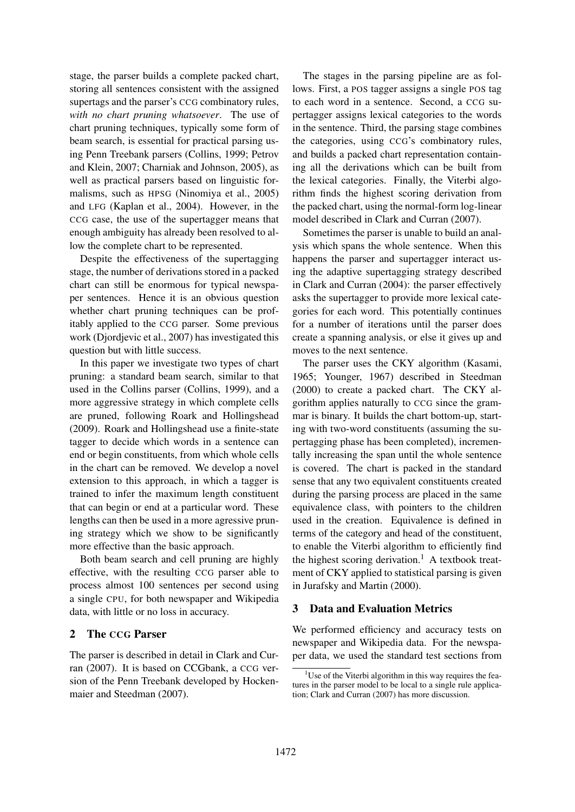stage, the parser builds a complete packed chart, storing all sentences consistent with the assigned supertags and the parser's CCG combinatory rules, *with no chart pruning whatsoever*. The use of chart pruning techniques, typically some form of beam search, is essential for practical parsing using Penn Treebank parsers (Collins, 1999; Petrov and Klein, 2007; Charniak and Johnson, 2005), as well as practical parsers based on linguistic formalisms, such as HPSG (Ninomiya et al., 2005) and LFG (Kaplan et al., 2004). However, in the CCG case, the use of the supertagger means that enough ambiguity has already been resolved to allow the complete chart to be represented.

Despite the effectiveness of the supertagging stage, the number of derivations stored in a packed chart can still be enormous for typical newspaper sentences. Hence it is an obvious question whether chart pruning techniques can be profitably applied to the CCG parser. Some previous work (Djordjevic et al., 2007) has investigated this question but with little success.

In this paper we investigate two types of chart pruning: a standard beam search, similar to that used in the Collins parser (Collins, 1999), and a more aggressive strategy in which complete cells are pruned, following Roark and Hollingshead (2009). Roark and Hollingshead use a finite-state tagger to decide which words in a sentence can end or begin constituents, from which whole cells in the chart can be removed. We develop a novel extension to this approach, in which a tagger is trained to infer the maximum length constituent that can begin or end at a particular word. These lengths can then be used in a more agressive pruning strategy which we show to be significantly more effective than the basic approach.

Both beam search and cell pruning are highly effective, with the resulting CCG parser able to process almost 100 sentences per second using a single CPU, for both newspaper and Wikipedia data, with little or no loss in accuracy.

# 2 The CCG Parser

The parser is described in detail in Clark and Curran (2007). It is based on CCGbank, a CCG version of the Penn Treebank developed by Hockenmaier and Steedman (2007).

The stages in the parsing pipeline are as follows. First, a POS tagger assigns a single POS tag to each word in a sentence. Second, a CCG supertagger assigns lexical categories to the words in the sentence. Third, the parsing stage combines the categories, using CCG's combinatory rules, and builds a packed chart representation containing all the derivations which can be built from the lexical categories. Finally, the Viterbi algorithm finds the highest scoring derivation from the packed chart, using the normal-form log-linear model described in Clark and Curran (2007).

Sometimes the parser is unable to build an analysis which spans the whole sentence. When this happens the parser and supertagger interact using the adaptive supertagging strategy described in Clark and Curran (2004): the parser effectively asks the supertagger to provide more lexical categories for each word. This potentially continues for a number of iterations until the parser does create a spanning analysis, or else it gives up and moves to the next sentence.

The parser uses the CKY algorithm (Kasami, 1965; Younger, 1967) described in Steedman (2000) to create a packed chart. The CKY algorithm applies naturally to CCG since the grammar is binary. It builds the chart bottom-up, starting with two-word constituents (assuming the supertagging phase has been completed), incrementally increasing the span until the whole sentence is covered. The chart is packed in the standard sense that any two equivalent constituents created during the parsing process are placed in the same equivalence class, with pointers to the children used in the creation. Equivalence is defined in terms of the category and head of the constituent, to enable the Viterbi algorithm to efficiently find the highest scoring derivation.<sup>1</sup> A textbook treatment of CKY applied to statistical parsing is given in Jurafsky and Martin (2000).

#### 3 Data and Evaluation Metrics

We performed efficiency and accuracy tests on newspaper and Wikipedia data. For the newspaper data, we used the standard test sections from

<sup>&</sup>lt;sup>1</sup>Use of the Viterbi algorithm in this way requires the features in the parser model to be local to a single rule application; Clark and Curran (2007) has more discussion.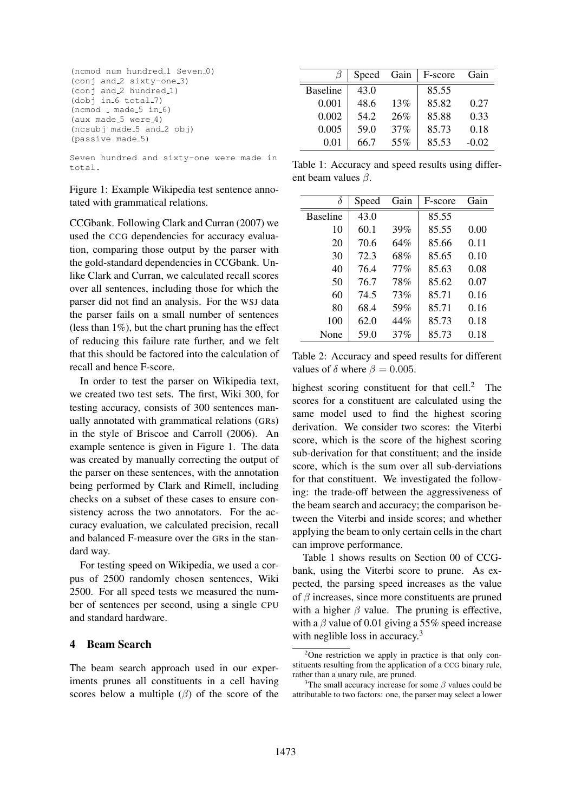```
(ncmod num hundred_1 Seven_0)
(conj and 2 sixty-one 3)
(conj and 2 hundred 1)
(dobj in 6 total.7)(ncmod made_5 in_6)(aux made<sub>-5</sub> were-4)
(ncsubj made 5 and 2 obj)
(passive made<sub>-5</sub>)
```
Seven hundred and sixty-one were made in total.

Figure 1: Example Wikipedia test sentence annotated with grammatical relations.

CCGbank. Following Clark and Curran (2007) we used the CCG dependencies for accuracy evaluation, comparing those output by the parser with the gold-standard dependencies in CCGbank. Unlike Clark and Curran, we calculated recall scores over all sentences, including those for which the parser did not find an analysis. For the WSJ data the parser fails on a small number of sentences (less than  $1\%$ ), but the chart pruning has the effect of reducing this failure rate further, and we felt that this should be factored into the calculation of recall and hence F-score.

In order to test the parser on Wikipedia text, we created two test sets. The first, Wiki 300, for testing accuracy, consists of 300 sentences manually annotated with grammatical relations (GRs) in the style of Briscoe and Carroll (2006). An example sentence is given in Figure 1. The data was created by manually correcting the output of the parser on these sentences, with the annotation being performed by Clark and Rimell, including checks on a subset of these cases to ensure consistency across the two annotators. For the accuracy evaluation, we calculated precision, recall and balanced F-measure over the GRs in the standard way.

For testing speed on Wikipedia, we used a corpus of 2500 randomly chosen sentences, Wiki 2500. For all speed tests we measured the number of sentences per second, using a single CPU and standard hardware.

## 4 Beam Search

The beam search approach used in our experiments prunes all constituents in a cell having scores below a multiple  $(\beta)$  of the score of the

|                 | Speed | Gain | F-score | Gain    |
|-----------------|-------|------|---------|---------|
| <b>Baseline</b> | 43.0  |      | 85.55   |         |
| 0.001           | 48.6  | 13%  | 85.82   | 0.27    |
| 0.002           | 54.2  | 26%  | 85.88   | 0.33    |
| 0.005           | 59.0  | 37%  | 85.73   | 0.18    |
| 0.01            | 66.7  | 55%  | 85.53   | $-0.02$ |

Table 1: Accuracy and speed results using different beam values  $\beta$ .

| δ               | Speed | Gain   | F-score | Gain |
|-----------------|-------|--------|---------|------|
| <b>Baseline</b> | 43.0  |        | 85.55   |      |
| 10              | 60.1  | 39%    | 85.55   | 0.00 |
| 20              | 70.6  | 64%    | 85.66   | 0.11 |
| 30              | 72.3  | 68%    | 85.65   | 0.10 |
| 40              | 76.4  | $77\%$ | 85.63   | 0.08 |
| 50              | 76.7  | 78%    | 85.62   | 0.07 |
| 60              | 74.5  | 73%    | 85.71   | 0.16 |
| 80              | 68.4  | 59%    | 85.71   | 0.16 |
| 100             | 62.0  | 44%    | 85.73   | 0.18 |
| None            | 59.0  | 37%    | 85.73   | 0.18 |

Table 2: Accuracy and speed results for different values of  $\delta$  where  $\beta = 0.005$ .

highest scoring constituent for that cell.<sup>2</sup> The scores for a constituent are calculated using the same model used to find the highest scoring derivation. We consider two scores: the Viterbi score, which is the score of the highest scoring sub-derivation for that constituent; and the inside score, which is the sum over all sub-derviations for that constituent. We investigated the following: the trade-off between the aggressiveness of the beam search and accuracy; the comparison between the Viterbi and inside scores; and whether applying the beam to only certain cells in the chart can improve performance.

Table 1 shows results on Section 00 of CCGbank, using the Viterbi score to prune. As expected, the parsing speed increases as the value of  $\beta$  increases, since more constituents are pruned with a higher  $\beta$  value. The pruning is effective, with a  $\beta$  value of 0.01 giving a 55% speed increase with neglible loss in accuracy.<sup>3</sup>

<sup>&</sup>lt;sup>2</sup>One restriction we apply in practice is that only constituents resulting from the application of a CCG binary rule, rather than a unary rule, are pruned.

<sup>&</sup>lt;sup>3</sup>The small accuracy increase for some  $\beta$  values could be attributable to two factors: one, the parser may select a lower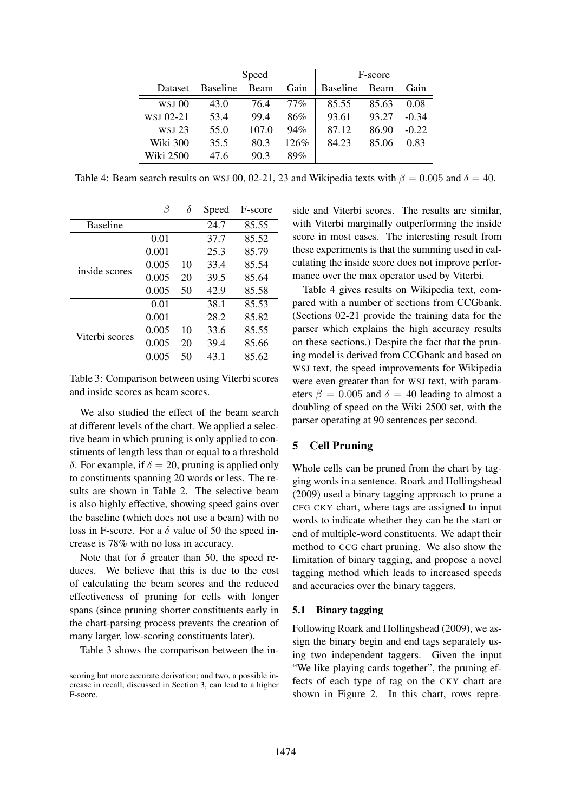|           | Speed           |       |        |                 | F-score |         |
|-----------|-----------------|-------|--------|-----------------|---------|---------|
| Dataset   | <b>Baseline</b> | Beam  | Gain   | <b>Baseline</b> | Beam    | Gain    |
| $WSI$ 00  | 43.0            | 76.4  | $77\%$ | 85.55           | 85.63   | 0.08    |
| WSJ 02-21 | 53.4            | 99.4  | 86%    | 93.61           | 93.27   | $-0.34$ |
| WSJ 23    | 55.0            | 107.0 | 94%    | 87.12           | 86.90   | $-0.22$ |
| Wiki 300  | 35.5            | 80.3  | 126%   | 84.23           | 85.06   | 0.83    |
| Wiki 2500 | 47.6            | 90.3  | 89%    |                 |         |         |

Table 4: Beam search results on WSJ 00, 02-21, 23 and Wikipedia texts with  $\beta = 0.005$  and  $\delta = 40$ .

|                 |       | δ  | Speed | F-score |
|-----------------|-------|----|-------|---------|
| <b>Baseline</b> |       |    | 24.7  | 85.55   |
|                 | 0.01  |    | 37.7  | 85.52   |
|                 | 0.001 |    | 25.3  | 85.79   |
| inside scores   | 0.005 | 10 | 33.4  | 85.54   |
|                 | 0.005 | 20 | 39.5  | 85.64   |
|                 | 0.005 | 50 | 42.9  | 85.58   |
|                 | 0.01  |    | 38.1  | 85.53   |
|                 | 0.001 |    | 28.2  | 85.82   |
| Viterbi scores  | 0.005 | 10 | 33.6  | 85.55   |
|                 | 0.005 | 20 | 39.4  | 85.66   |
|                 | 0.005 | 50 | 43.1  | 85.62   |

Table 3: Comparison between using Viterbi scores and inside scores as beam scores.

We also studied the effect of the beam search at different levels of the chart. We applied a selective beam in which pruning is only applied to constituents of length less than or equal to a threshold δ. For example, if  $\delta = 20$ , pruning is applied only to constituents spanning 20 words or less. The results are shown in Table 2. The selective beam is also highly effective, showing speed gains over the baseline (which does not use a beam) with no loss in F-score. For a  $\delta$  value of 50 the speed increase is 78% with no loss in accuracy.

Note that for  $\delta$  greater than 50, the speed reduces. We believe that this is due to the cost of calculating the beam scores and the reduced effectiveness of pruning for cells with longer spans (since pruning shorter constituents early in the chart-parsing process prevents the creation of many larger, low-scoring constituents later).

Table 3 shows the comparison between the in-

side and Viterbi scores. The results are similar, with Viterbi marginally outperforming the inside score in most cases. The interesting result from these experiments is that the summing used in calculating the inside score does not improve performance over the max operator used by Viterbi.

Table 4 gives results on Wikipedia text, compared with a number of sections from CCGbank. (Sections 02-21 provide the training data for the parser which explains the high accuracy results on these sections.) Despite the fact that the pruning model is derived from CCGbank and based on WSJ text, the speed improvements for Wikipedia were even greater than for WSJ text, with parameters  $\beta = 0.005$  and  $\delta = 40$  leading to almost a doubling of speed on the Wiki 2500 set, with the parser operating at 90 sentences per second.

# 5 Cell Pruning

Whole cells can be pruned from the chart by tagging words in a sentence. Roark and Hollingshead (2009) used a binary tagging approach to prune a CFG CKY chart, where tags are assigned to input words to indicate whether they can be the start or end of multiple-word constituents. We adapt their method to CCG chart pruning. We also show the limitation of binary tagging, and propose a novel tagging method which leads to increased speeds and accuracies over the binary taggers.

### 5.1 Binary tagging

Following Roark and Hollingshead (2009), we assign the binary begin and end tags separately using two independent taggers. Given the input "We like playing cards together", the pruning effects of each type of tag on the CKY chart are shown in Figure 2. In this chart, rows repre-

scoring but more accurate derivation; and two, a possible increase in recall, discussed in Section 3, can lead to a higher F-score.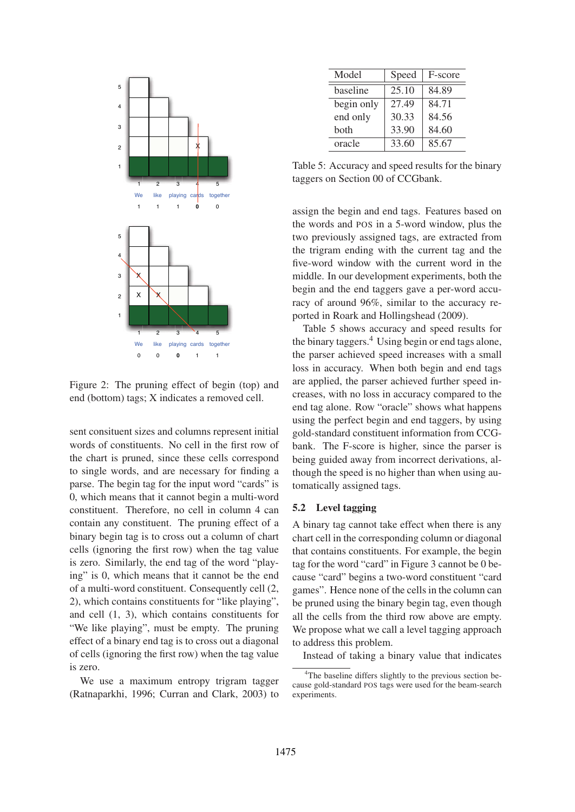

Figure 2: The pruning effect of begin (top) and end (bottom) tags; X indicates a removed cell.

sent consituent sizes and columns represent initial words of constituents. No cell in the first row of the chart is pruned, since these cells correspond to single words, and are necessary for finding a parse. The begin tag for the input word "cards" is 0, which means that it cannot begin a multi-word constituent. Therefore, no cell in column 4 can contain any constituent. The pruning effect of a binary begin tag is to cross out a column of chart cells (ignoring the first row) when the tag value is zero. Similarly, the end tag of the word "playing" is 0, which means that it cannot be the end of a multi-word constituent. Consequently cell (2, 2), which contains constituents for "like playing", and cell (1, 3), which contains constituents for "We like playing", must be empty. The pruning effect of a binary end tag is to cross out a diagonal of cells (ignoring the first row) when the tag value is zero.

We use a maximum entropy trigram tagger (Ratnaparkhi, 1996; Curran and Clark, 2003) to

| Model      | Speed | F-score |
|------------|-------|---------|
| baseline   | 25.10 | 84.89   |
| begin only | 27.49 | 84.71   |
| end only   | 30.33 | 84.56   |
| both       | 33.90 | 84.60   |
| oracle     | 33.60 | 85.67   |

Table 5: Accuracy and speed results for the binary taggers on Section 00 of CCGbank.

assign the begin and end tags. Features based on the words and POS in a 5-word window, plus the two previously assigned tags, are extracted from the trigram ending with the current tag and the five-word window with the current word in the middle. In our development experiments, both the begin and the end taggers gave a per-word accuracy of around 96%, similar to the accuracy reported in Roark and Hollingshead (2009).

Table 5 shows accuracy and speed results for the binary taggers.<sup>4</sup> Using begin or end tags alone, the parser achieved speed increases with a small loss in accuracy. When both begin and end tags are applied, the parser achieved further speed increases, with no loss in accuracy compared to the end tag alone. Row "oracle" shows what happens using the perfect begin and end taggers, by using gold-standard constituent information from CCGbank. The F-score is higher, since the parser is being guided away from incorrect derivations, although the speed is no higher than when using automatically assigned tags.

#### 5.2 Level tagging

A binary tag cannot take effect when there is any chart cell in the corresponding column or diagonal that contains constituents. For example, the begin tag for the word "card" in Figure 3 cannot be 0 because "card" begins a two-word constituent "card games". Hence none of the cells in the column can be pruned using the binary begin tag, even though all the cells from the third row above are empty. We propose what we call a level tagging approach to address this problem.

Instead of taking a binary value that indicates

<sup>&</sup>lt;sup>4</sup>The baseline differs slightly to the previous section because gold-standard POS tags were used for the beam-search experiments.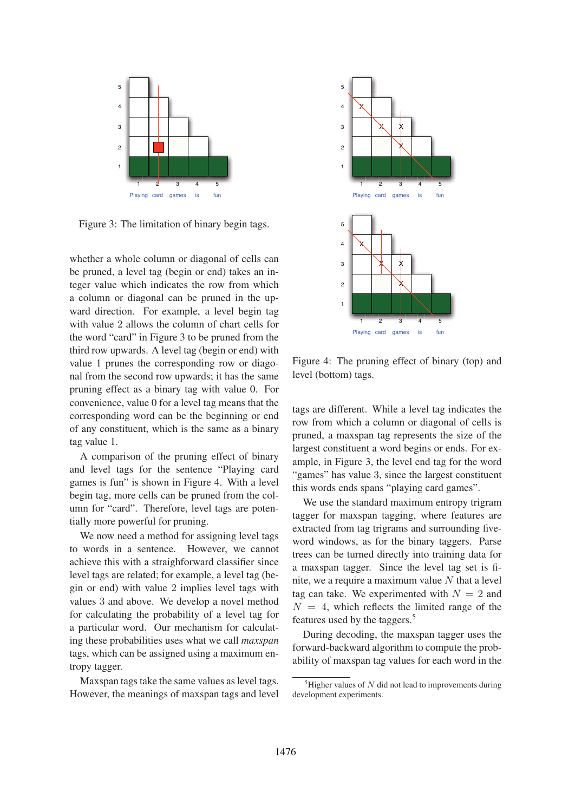

Figure 3: The limitation of binary begin tags.

whether a whole column or diagonal of cells can be pruned, a level tag (begin or end) takes an integer value which indicates the row from which a column or diagonal can be pruned in the upward direction. For example, a level begin tag with value 2 allows the column of chart cells for the word "card" in Figure 3 to be pruned from the third row upwards. A level tag (begin or end) with value 1 prunes the corresponding row or diagonal from the second row upwards; it has the same pruning effect as a binary tag with value 0. For convenience, value 0 for a level tag means that the corresponding word can be the beginning or end of any constituent, which is the same as a binary tag value 1.

A comparison of the pruning effect of binary and level tags for the sentence "Playing card games is fun" is shown in Figure 4. With a level begin tag, more cells can be pruned from the column for "card". Therefore, level tags are potentially more powerful for pruning.

We now need a method for assigning level tags to words in a sentence. However, we cannot achieve this with a straighforward classifier since level tags are related; for example, a level tag (begin or end) with value 2 implies level tags with values 3 and above. We develop a novel method for calculating the probability of a level tag for a particular word. Our mechanism for calculating these probabilities uses what we call *maxspan* tags, which can be assigned using a maximum entropy tagger.

Maxspan tags take the same values as level tags. However, the meanings of maxspan tags and level



Figure 4: The pruning effect of binary (top) and level (bottom) tags.

tags are different. While a level tag indicates the row from which a column or diagonal of cells is pruned, a maxspan tag represents the size of the largest constituent a word begins or ends. For example, in Figure 3, the level end tag for the word "games" has value 3, since the largest constituent this words ends spans "playing card games".

We use the standard maximum entropy trigram tagger for maxspan tagging, where features are extracted from tag trigrams and surrounding fiveword windows, as for the binary taggers. Parse trees can be turned directly into training data for a maxspan tagger. Since the level tag set is finite, we a require a maximum value  $N$  that a level tag can take. We experimented with  $N = 2$  and  $N = 4$ , which reflects the limited range of the features used by the taggers.<sup>5</sup>

During decoding, the maxspan tagger uses the forward-backward algorithm to compute the probability of maxspan tag values for each word in the

 ${}^{5}$ Higher values of  $N$  did not lead to improvements during development experiments.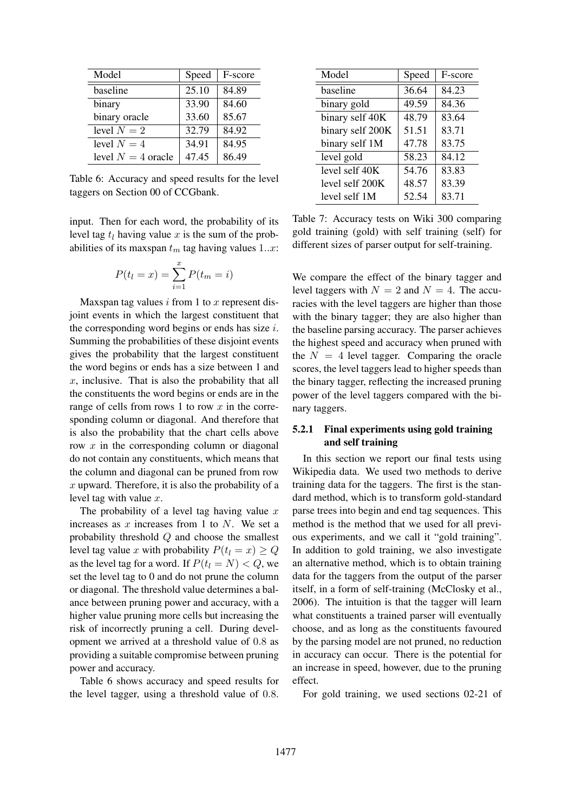| Model                | Speed | F-score |
|----------------------|-------|---------|
| baseline             | 25.10 | 84.89   |
| binary               | 33.90 | 84.60   |
| binary oracle        | 33.60 | 85.67   |
| level $N=2$          | 32.79 | 84.92   |
| level $N = 4$        | 34.91 | 84.95   |
| level $N = 4$ oracle | 47.45 | 86.49   |

Table 6: Accuracy and speed results for the level taggers on Section 00 of CCGbank.

input. Then for each word, the probability of its level tag  $t_l$  having value x is the sum of the probabilities of its maxspan  $t_m$  tag having values 1..x:

$$
P(t_l = x) = \sum_{i=1}^{x} P(t_m = i)
$$

Maxspan tag values  $i$  from 1 to  $x$  represent disjoint events in which the largest constituent that the corresponding word begins or ends has size  $i$ . Summing the probabilities of these disjoint events gives the probability that the largest constituent the word begins or ends has a size between 1 and  $x$ , inclusive. That is also the probability that all the constituents the word begins or ends are in the range of cells from rows 1 to row  $x$  in the corresponding column or diagonal. And therefore that is also the probability that the chart cells above row  $x$  in the corresponding column or diagonal do not contain any constituents, which means that the column and diagonal can be pruned from row  $x$  upward. Therefore, it is also the probability of a level tag with value  $x$ .

The probability of a level tag having value  $x$ increases as  $x$  increases from 1 to  $N$ . We set a probability threshold Q and choose the smallest level tag value x with probability  $P(t_l = x) \geq Q$ as the level tag for a word. If  $P(t_l = N) < Q$ , we set the level tag to 0 and do not prune the column or diagonal. The threshold value determines a balance between pruning power and accuracy, with a higher value pruning more cells but increasing the risk of incorrectly pruning a cell. During development we arrived at a threshold value of 0.8 as providing a suitable compromise between pruning power and accuracy.

Table 6 shows accuracy and speed results for the level tagger, using a threshold value of 0.8.

| Model            | Speed | F-score |
|------------------|-------|---------|
| baseline         | 36.64 | 84.23   |
| binary gold      | 49.59 | 84.36   |
| binary self 40K  | 48.79 | 83.64   |
| binary self 200K | 51.51 | 83.71   |
| binary self 1M   | 47.78 | 83.75   |
| level gold       | 58.23 | 84.12   |
| level self 40K   | 54.76 | 83.83   |
| level self 200K  | 48.57 | 83.39   |
| level self 1M    | 52.54 | 83.71   |

Table 7: Accuracy tests on Wiki 300 comparing gold training (gold) with self training (self) for different sizes of parser output for self-training.

We compare the effect of the binary tagger and level taggers with  $N = 2$  and  $N = 4$ . The accuracies with the level taggers are higher than those with the binary tagger; they are also higher than the baseline parsing accuracy. The parser achieves the highest speed and accuracy when pruned with the  $N = 4$  level tagger. Comparing the oracle scores, the level taggers lead to higher speeds than the binary tagger, reflecting the increased pruning power of the level taggers compared with the binary taggers.

# 5.2.1 Final experiments using gold training and self training

In this section we report our final tests using Wikipedia data. We used two methods to derive training data for the taggers. The first is the standard method, which is to transform gold-standard parse trees into begin and end tag sequences. This method is the method that we used for all previous experiments, and we call it "gold training". In addition to gold training, we also investigate an alternative method, which is to obtain training data for the taggers from the output of the parser itself, in a form of self-training (McClosky et al., 2006). The intuition is that the tagger will learn what constituents a trained parser will eventually choose, and as long as the constituents favoured by the parsing model are not pruned, no reduction in accuracy can occur. There is the potential for an increase in speed, however, due to the pruning effect.

For gold training, we used sections 02-21 of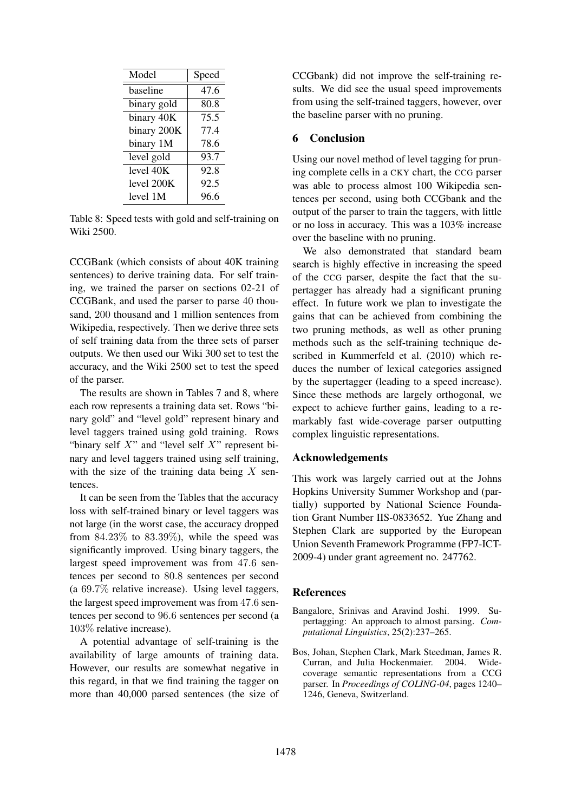| Model       | Speed |
|-------------|-------|
| baseline    | 47.6  |
| binary gold | 80.8  |
| binary 40K  | 75.5  |
| binary 200K | 77.4  |
| binary 1M   | 78.6  |
| level gold  | 93.7  |
| level 40K   | 92.8  |
| level 200K  | 92.5  |
| level 1M    | 96.6  |

Table 8: Speed tests with gold and self-training on Wiki 2500.

CCGBank (which consists of about 40K training sentences) to derive training data. For self training, we trained the parser on sections 02-21 of CCGBank, and used the parser to parse 40 thousand, 200 thousand and 1 million sentences from Wikipedia, respectively. Then we derive three sets of self training data from the three sets of parser outputs. We then used our Wiki 300 set to test the accuracy, and the Wiki 2500 set to test the speed of the parser.

The results are shown in Tables 7 and 8, where each row represents a training data set. Rows "binary gold" and "level gold" represent binary and level taggers trained using gold training. Rows "binary self  $X$ " and "level self  $X$ " represent binary and level taggers trained using self training, with the size of the training data being  $X$  sentences.

It can be seen from the Tables that the accuracy loss with self-trained binary or level taggers was not large (in the worst case, the accuracy dropped from  $84.23\%$  to  $83.39\%$ ), while the speed was significantly improved. Using binary taggers, the largest speed improvement was from 47.6 sentences per second to 80.8 sentences per second (a 69.7% relative increase). Using level taggers, the largest speed improvement was from 47.6 sentences per second to 96.6 sentences per second (a 103% relative increase).

A potential advantage of self-training is the availability of large amounts of training data. However, our results are somewhat negative in this regard, in that we find training the tagger on more than 40,000 parsed sentences (the size of CCGbank) did not improve the self-training results. We did see the usual speed improvements from using the self-trained taggers, however, over the baseline parser with no pruning.

## 6 Conclusion

Using our novel method of level tagging for pruning complete cells in a CKY chart, the CCG parser was able to process almost 100 Wikipedia sentences per second, using both CCGbank and the output of the parser to train the taggers, with little or no loss in accuracy. This was a 103% increase over the baseline with no pruning.

We also demonstrated that standard beam search is highly effective in increasing the speed of the CCG parser, despite the fact that the supertagger has already had a significant pruning effect. In future work we plan to investigate the gains that can be achieved from combining the two pruning methods, as well as other pruning methods such as the self-training technique described in Kummerfeld et al. (2010) which reduces the number of lexical categories assigned by the supertagger (leading to a speed increase). Since these methods are largely orthogonal, we expect to achieve further gains, leading to a remarkably fast wide-coverage parser outputting complex linguistic representations.

## Acknowledgements

This work was largely carried out at the Johns Hopkins University Summer Workshop and (partially) supported by National Science Foundation Grant Number IIS-0833652. Yue Zhang and Stephen Clark are supported by the European Union Seventh Framework Programme (FP7-ICT-2009-4) under grant agreement no. 247762.

#### References

- Bangalore, Srinivas and Aravind Joshi. 1999. Supertagging: An approach to almost parsing. *Computational Linguistics*, 25(2):237–265.
- Bos, Johan, Stephen Clark, Mark Steedman, James R. Curran, and Julia Hockenmaier. 2004. Widecoverage semantic representations from a CCG parser. In *Proceedings of COLING-04*, pages 1240– 1246, Geneva, Switzerland.